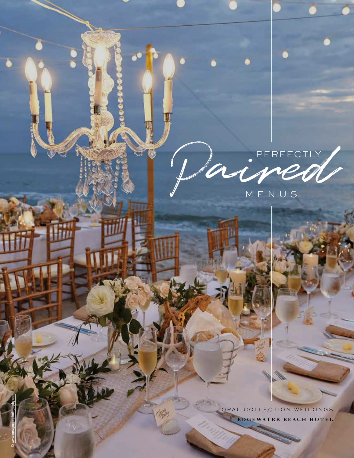# PERFECTLY

OPAL COLLECTION WEDDINGS **EDGEWATER BEACH HOTEL** 

杨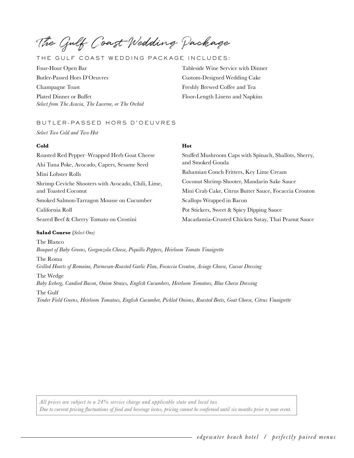The Gulf Coast Wedding Package

# THE GULF COAST WEDDING PACKAGE INCLUDES:

Four-Hour Open Bar Tableside Wine Service with Dinner Butler-Passed Hors D'Oeuvres Custom-Designed Wedding Cake Champagne Toast **Freshly Brewed Coffee and Tea** Plated Dinner or Buffet Floor-Length Linens and Napkins *Select from The Acacia, The Lucerne, or The Orchid* 

# BUTLER-PASSED HORS D'OEUVRES

*Select Two Cold and Two Hot* 

## **Cold Hot**

Roasted Red Pepper–Wrapped Herb Goat Cheese Stuffed Mushroom Caps with Spinach, Shallots, Sherry, and Smoked Gouda Ahi Tuna Poke, Avocado, Capers, Sesame Seed Mini Lobster Rolls Bahamian Conch Fritters, Key Lime Cream Shrimp Ceviche Shooters with Avocado, Chili, Lime, Coconut Shrimp Shooter, Mandarin Sake Sauce and Toasted Coconut Mini Crab Cake, Citrus Butter Sauce, Focaccia Crouton Smoked Salmon-Tarragon Mousse on Cucumber Scallops Wrapped in Bacon California Roll Pot Stickers, Sweet & Spicy Dipping Sauce Seared Beef & Cherry Tomato on Crostini Macadamia-Crusted Chicken Satay, Thai Peanut Sauce

# **Salad Course (***Select One)*

The Blanco *Bouquet of Baby Greens, Gorgonzola Cheese, Piquillo Peppers, Heirloom Tomato Vinaigrette* 

The Roma *Grilled Hearts of Romaine, Parmesan-Roasted Garlic Flan, Focaccia Crouton, Asiago Cheese, Caesar Dressing* 

The Wedge *Baby Iceberg, Candied Bacon, Onion Straws, English Cucumbers, Heirloom Tomatoes, Blue Cheese Dressing*  The Gulf

*Tender Field Greens, Heirloom Tomatoes, English Cucumber, Pickled Onions, Roasted Beets, Goat Cheese, Citrus Vinaigrette*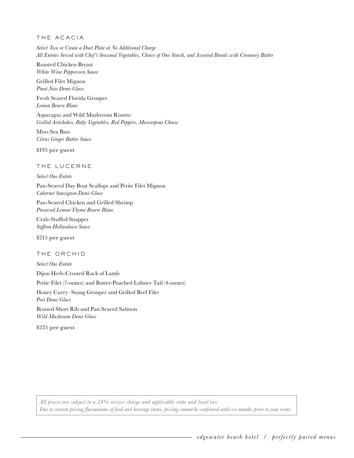# THE ACACIA

*Select Two or Create a Duet Plate at No Additional Charge All Entrées Served with Chef's Seasonal Vegetables, Choice of One Starch, and Assorted Breads with Creamery Butter* 

Roasted Chicken Breast *White Wine Peppercorn Sauce* 

Grilled Filet Mignon *Pinot Noir Demi-Glace* 

Fresh Seared Florida Grouper *Lemon Beurre Blanc* 

Asparagus and Wild Mushroom Risotto *Grilled Artichokes, Baby Vegetables, Red Peppers, Mascarpone Cheese* 

Miso Sea Bass *Citrus Ginger Butter Sauce* 

**\$195 per guest** 

# THE LUCERNE

# *Select One Entrée*

Pan-Seared Day Boat Scallops and Petite Filet Mignon *Cabernet Sauvignon Demi-Glace* 

Pan-Seared Chicken and Grilled Shrimp *Preserved Lemon-Thyme Beurre Blanc* 

Crab-Stuffed Snapper *Saffron Hollandaise Sauce*

**\$215 per guest** 

# THE ORCHID

*Select One Entrée*  Dijon Herb-Crusted Rack of Lamb Petite Filet (7-ounce) and Butter-Poached Lobster Tail (4-ounce) Honey Curry–Stung Grouper and Grilled Beef Filet *Port Demi-Glace*  Braised Short Rib and Pan Seared Salmon *Wild Mushroom Demi-Glace* 

**\$225 per guest**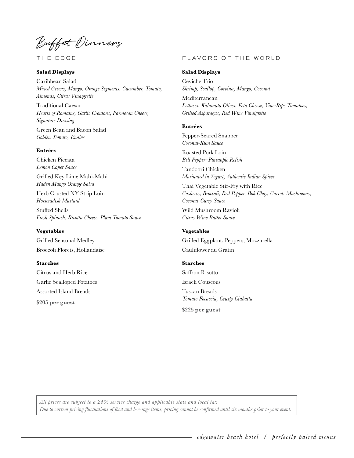Buffet Dinners

THE EDGE

#### **Salad Displays**

Caribbean Salad *Mixed Greens, Mango, Orange Segments, Cucumber, Tomato, Almonds, Citrus Vinaigrette* 

 Traditional Caesar *Hearts of Romaine, Garlic Croutons, Parmesan Cheese, Signature Dressing* 

Green Bean and Bacon Salad *Golden Tomato, Endive* 

# **Entrées**

Chicken Piccata *Lemon Caper Sauce* 

Grilled Key Lime Mahi-Mahi *Haden Mango Orange Salsa* 

Herb Crusted NY Strip Loin *Horseradish Mustard* 

Stuffed Shells *Fresh Spinach, Ricotta Cheese, Plum Tomato Sauce* 

Grilled Seasonal Medley **Vegetables** 

Broccoli Florets, Hollandaise

# **Starches**

Citrus and Herb Rice Garlic Scalloped Potatoes Assorted Island Breads **\$205 per guest** 

#### FLAVORS OF THE WORLD

#### **Salad Displays**

 Ceviche Trio *Shrimp, Scallop, Corvina, Mango, Coconut* 

 Mediterranean *Lettuces, Kalamata Olives, Feta Cheese, Vine-Ripe Tomatoes, Grilled Asparagus, Red Wine Vinaigrette* 

#### **Entrées**

Pepper-Seared Snapper *Coconut-Rum Sauce* 

Roasted Pork Loin *Bell Pepper–Pineapple Relish* 

Tandoori Chicken *Marinated in Yogurt, Authentic Indian Spices* 

Thai Vegetable Stir-Fry with Rice *Cashews, Broccoli, Red Pepper, Bok Choy, Carrot, Mushrooms, Coconut-Curry Sauce* 

Wild Mushroom Ravioli *Citrus Wine Butter Sauce* 

**Vegetables**  Grilled Eggplant, Peppers, Mozzarella Cauliflower au Gratin

#### **Starches**

Saffron Risotto Israeli Couscous Tuscan Breads *Tomato Focaccia, Crusty Ciabatta* 

**\$225 per guest**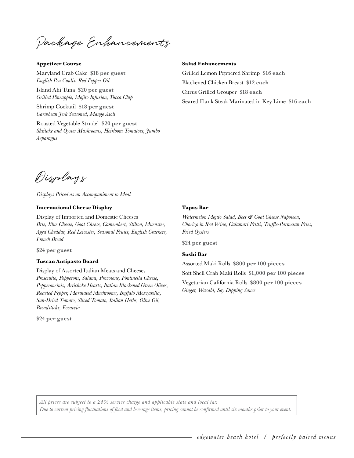Package Enhancements

#### **Appetizer Course**

Maryland Crab Cake **\$18 per guest**  *English Pea Coulis, Red Pepper Oil* 

Island Ahi Tuna **\$20 per guest**  *Grilled Pineapple, Mojito Infusion, Yucca Chip* 

Shrimp Cocktail **\$18 per guest**  *Caribbean Jerk Seasoned, Mango Aioli* 

Roasted Vegetable Strudel **\$20 per guest**  *Shiitake and Oyster Mushrooms, Heirloom Tomatoes, Jumbo Asparagus* 

#### **Salad Enhancements**

Grilled Lemon Peppered Shrimp **\$16 each**  Blackened Chicken Breast **\$12 each**  Citrus Grilled Grouper **\$18 each**  Seared Flank Steak Marinated in Key Lime **\$16 each** 

Displays

*Displays Priced as an Accompaniment to Meal* 

#### **International Cheese Display**

 *French Bread* Display of Imported and Domestic Cheeses *Brie, Blue Cheese, Goat Cheese, Camembert, Stilton, Muenster, Aged Cheddar, Red Leicester, Seasonal Fruits, English Crackers,* 

**\$24 per guest** 

#### **Tuscan Antipasto Board**

Display of Assorted Italian Meats and Cheeses *Prosciutto, Pepperoni, Salami, Provolone, Fontinella Cheese, Pepperoncinis, Artichoke Hearts, Italian Blackened Green Olives, Roasted Pepper, Marinated Mushrooms, Buffalo Mozzarella, Sun-Dried Tomato, Sliced Tomato, Italian Herbs, Olive Oil, Breadsticks, Focaccia* 

**\$24 per guest** 

#### **Tapas Bar**

*Watermelon Mojito Salad, Beet & Goat Cheese Napoleon, Chorizo in Red Wine, Calamari Fritti, Truffle-Parmesan Fries, Fried Oysters* 

**\$24 per guest** 

#### **Sushi Bar**

Assorted Maki Rolls **\$800 per 100 pieces** 

Soft Shell Crab Maki Rolls **\$1,000 per 100 pieces** 

Vegetarian California Rolls **\$800 per 100 pieces**  *Ginger, Wasabi, Soy Dipping Sauce*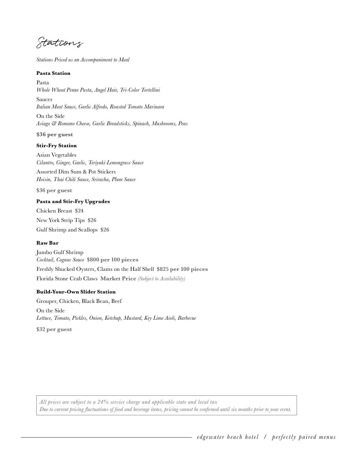Stations

*Stations Priced as an Accompaniment to Meal* 

#### **Pasta Station**

Pasta *Whole Wheat Penne Pasta, Angel Hair, Tri-Color Tortellini* 

Sauces *Italian Meat Sauce, Garlic Alfredo, Roasted Tomato Marinara* 

On the Side *Asiago & Romano Cheese, Garlic Breadsticks, Spinach, Mushrooms, Peas* 

**\$36 per guest** 

#### **Stir-Fry Station**

Asian Vegetables *Cilantro, Ginger, Garlic, Teriyaki-Lemongrass Sauce* 

Assorted Dim Sum & Pot Stickers *Hoisin, Thai Chili Sauce, Sriracha, Plum Sauce* 

**\$36 per guest** 

#### **Pasta and Stir-Fry Upgrades**

Chicken Breast **\$24**  New York Strip Tips **\$26**  Gulf Shrimp and Scallops **\$26** 

#### **Raw Bar**

Jumbo Gulf Shrimp *Cocktail, Cognac Sauce* **\$800 per 100 pieces**  Freshly Shucked Oysters, Clams on the Half Shell **\$825 per 100 pieces**  Florida Stone Crab Claws **Market Price** *(Subject to Availability)* 

#### **Build-Your-Own Slider Station**

Grouper, Chicken, Black Bean, Beef On the Side *Lettuce, Tomato, Pickles, Onion, Ketchup, Mustard, Key Lime Aioli, Barbecue* 

**\$32 per guest**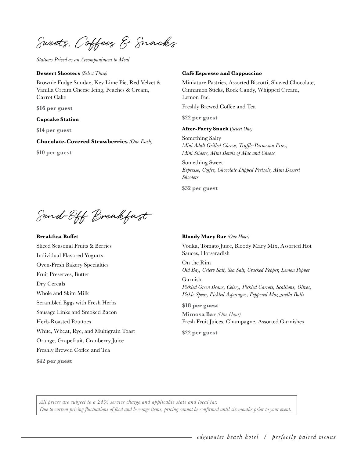Sweets, Coffees & Snacks

*Stations Priced as an Accompaniment to Meal* 

#### **Dessert Shooters** *(Select Three)*

Brownie Fudge Sundae, Key Lime Pie, Red Velvet & Vanilla Cream Cheese Icing, Peaches & Cream, Carrot Cake

**\$16 per guest** 

#### **Cupcake Station**

**\$14 per guest** 

**Chocolate-Covered Strawberries** *(One Each)* 

**\$10 per guest** 

#### **Café Espresso and Cappuccino**

Miniature Pastries, Assorted Biscotti, Shaved Chocolate, Cinnamon Sticks, Rock Candy, Whipped Cream, Lemon Peel

Freshly Brewed Coffee and Tea

**\$22 per guest** 

#### **After-Party Snack (***Select One)*

Something Salty *Mini Adult Grilled Cheese, Truffle-Parmesan Fries, Mini Sliders, Mini Bowls of Mac and Cheese* 

Something Sweet *Espresso, Coffee, Chocolate-Dipped Pretzels, Mini Dessert Shooters* 

**\$32 per guest** 

Send-Off Breakfast

#### **Breakfast Buffet**

Sliced Seasonal Fruits & Berries Individual Flavored Yogurts Oven-Fresh Bakery Specialties Fruit Preserves, Butter Dry Cereals Whole and Skim Milk Scrambled Eggs with Fresh Herbs Sausage Links and Smoked Bacon Herb-Roasted Potatoes White, Wheat, Rye, and Multigrain Toast Orange, Grapefruit, Cranberry Juice Freshly Brewed Coffee and Tea **\$42 per guest** 

#### **Bloody Mary Bar** *(One Hour)*

Vodka, Tomato Juice, Bloody Mary Mix, Assorted Hot Sauces, Horseradish

On the Rim *Old Bay, Celery Salt, Sea Salt, Cracked Pepper, Lemon Pepper*  Garnish *Pickled Green Beans, Celery, Pickled Carrots, Scallions, Olives, Pickle Spear, Pickled Asparagus, Peppered Mozzarella Balls* 

#### **\$18 per guest**

 Fresh Fruit Juices*,* Champagne*,* Assorted Garnishes **Mimosa Bar** *(One Hour)* 

**\$22 per guest**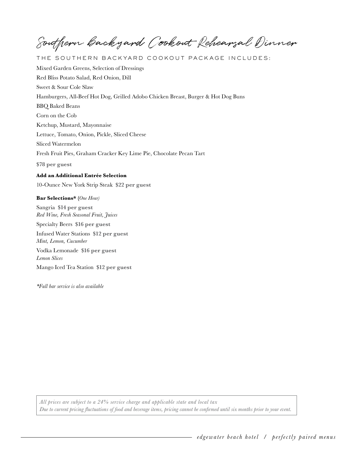Southern backyard Cookout Rehearsal Dinner

THE SOUTHERN BACKYARD COOKOUT PACK AGE INCLUDES:

Mixed Garden Greens, Selection of Dressings Red Bliss Potato Salad, Red Onion, Dill Sweet & Sour Cole Slaw Hamburgers, All-Beef Hot Dog, Grilled Adobo Chicken Breast, Burger & Hot Dog Buns BBQ Baked Beans Corn on the Cob Ketchup, Mustard, Mayonnaise Lettuce, Tomato, Onion, Pickle, Sliced Cheese Sliced Watermelon Fresh Fruit Pies, Graham Cracker Key Lime Pie, Chocolate Pecan Tart **\$78 per guest Add an Additional Entrée Selection** 

10-Ounce New York Strip Steak **\$22 per guest** 

#### **Bar Selections\* (***One Hour)*

 Infused Water Stations **\$12 per guest**   Vodka Lemonade **\$16 per guest**  Sangria **\$14 per guest**  *Red Wine, Fresh Seasonal Fruit, Juices*  Specialty Beers **\$16 per guest**  *Mint, Lemon, Cucumber Lemon Slices*  Mango Iced Tea Station **\$12 per guest** 

*\*Full bar service is also available*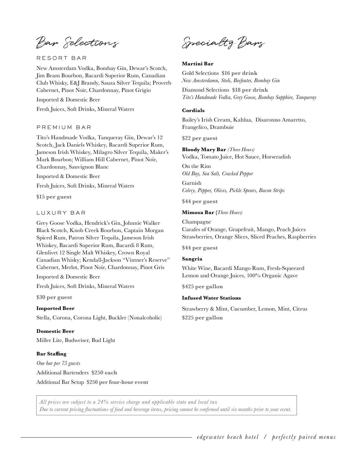Bar Selections

# RESORT BAR

New Amsterdam Vodka, Bombay Gin, Dewar's Scotch, Jim Beam Bourbon, Bacardi Superior Rum, Canadian Club Whisky, E&J Brandy, Sauza Silver Tequila; Proverb Cabernet, Pinot Noir, Chardonnay, Pinot Grigio

Imported & Domestic Beer

Fresh Juices, Soft Drinks, Mineral Waters

# PREMIUM BAR

Tito's Handmade Vodka, Tanqueray Gin, Dewar's 12 Scotch, Jack Daniels Whiskey, Bacardi Superior Rum, Jameson Irish Whiskey, Milagro Silver Tequila, Maker's Mark Bourbon; William Hill Cabernet, Pinot Noir, Chardonnay, Sauvignon Blanc

Imported & Domestic Beer

Fresh Juices, Soft Drinks, Mineral Waters

**\$15 per guest** 

# LUXURY BAR

Grey Goose Vodka, Hendrick's Gin, Johnnie Walker Black Scotch, Knob Creek Bourbon, Captain Morgan Spiced Rum, Patron Silver Tequila, Jameson Irish Whiskey, Bacardi Superior Rum, Bacardi 8 Rum, Glenlivet 12 Single Malt Whiskey, Crown Royal Canadian Whisky; Kendall-Jackson "Vintner's Reserve" Cabernet, Merlot, Pinot Noir, Chardonnay, Pinot Gris

Imported & Domestic Beer

Fresh Juices, Soft Drinks, Mineral Waters

**\$30 per guest** 

# **Imported Beer**

Stella, Corona, Corona Light, Buckler (Nonalcoholic)

# **Domestic Beer**

Miller Lite, Budweiser, Bud Light

#### **Bar Staffing**

*One bar per 75 guests*  Additional Bartenders **\$250 each**  Additional Bar Setup **\$250 per four-hour event** 

Specialty Bars

#### **Martini Bar**

 Gold Selections **\$16 per drink**  *New Amsterdamn, Stoli, Beefeater, Bombay Gin* 

 Diamond Selections **\$18 per drink**  *Tito's Handmade Vodka, Grey Goose, Bombay Sapphire, Tanqueray* 

#### **Cordials**

Bailey's Irish Cream, Kahlua, Disaronno Amaretto, Frangelico, Drambuie

**\$22 per guest** 

**Bloody Mary Bar** *(Three Hours)*  Vodka, Tomato Juice, Hot Sauce, Horseradish

On the Rim *Old Bay, Sea Salt, Cracked Pepper* 

Garnish *Celery, Pepper, Olives, Pickle Spears, Bacon Strips* 

**\$44 per guest** 

#### **Mimosa Bar (***Three Hours)*

Champagne Carafes of Orange, Grapefruit, Mango, Peach Juices Strawberries, Orange Slices, Sliced Peaches, Raspberries

**\$44 per guest** 

#### **Sangria**

White Wine, Bacardi Mango Rum, Fresh-Squeezed Lemon and Orange Juices, 100% Organic Agave

**\$425 per gallon** 

#### **Infused Water Stations**

Strawberry & Mint, Cucumber, Lemon, Mint, Citrus **\$225 per gallon** 

*All prices are subject to a 24% service charge and applicable state and local tax Due to current pricing fluctuations of food and beverage items, pricing cannot be confirmed until six months prior to your event.*

*edgewater beach hotel* / *perfectly paired menus*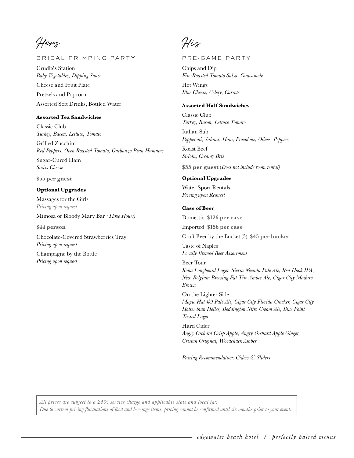Hers

# BRIDAL PRIMPING PARTY

Crudités Station *Baby Vegetables, Dipping Sauce*  Cheese and Fruit Plate Pretzels and Popcorn Assorted Soft Drinks, Bottled Water

# **Assorted Tea Sandwiches**

Classic Club *Turkey, Bacon, Lettuce, Tomato* 

Grilled Zucchini *Red Peppers, Oven Roasted Tomato, Garbanzo Bean Hummus* 

Sugar-Cured Ham *Swiss Cheese* 

**\$55 per guest** 

# **Optional Upgrades**

Massages for the Girls *Pricing upon request*  Mimosa or Bloody Mary Bar *(Three Hours)* 

**\$44 person** 

Chocolate-Covered Strawberries Tray *Pricing upon request* 

Champagne by the Bottle *Pricing upon request* 

His

PRE-GAME PART Y

Chips and Dip *Fire-Roasted Tomato Salsa, Guacamole*  Hot Wings *Blue Cheese, Celery, Carrots* 

# **Assorted Half Sandwiches**

Classic Club *Turkey, Bacon, Lettuce Tomato*  Italian Sub *Pepperoni, Salami, Ham, Provolone, Olives, Peppers* 

Roast Beef *Sirloin, Creamy Brie* 

**\$55 per guest (***Does not include room rental)* 

# **Optional Upgrades**

Water Sport Rentals *Pricing upon Request* 

#### **Case of Beer**

 Domestic **\$126 per case**  Imported **\$156 per case**  Craft Beer by the Bucket (5) **\$45 per bucket**  Taste of Naples *Locally Brewed Beer Assortment*  Beer Tour *Kona Longboard Lager, Sierra Nevada Pale Ale, Red Hook IPA, New Belgium Brewing Fat Tire Amber Ale, Cigar City Maduro Brown*  On the Lighter Side *Magic Hat #9 Pale Ale, Cigar City Florida Cracker, Cigar City Hotter than Helles, Boddington Nitro Cream Ale, Blue Point Tasted Lager* 

Hard Cider *Angry Orchard Crisp Apple, Angry Orchard Apple Ginger, Crispin Original, Woodchuck Amber* 

*Pairing Recommendation: Ciders & Sliders*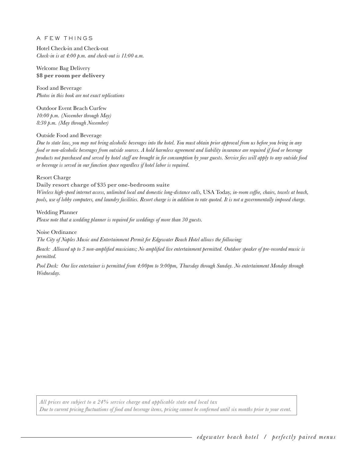# A FEW THINGS

Hotel Check-in and Check-out *Check-in is at 4:00 p.m. and check-out is 11:00 a.m.* 

Welcome Bag Delivery **\$8 per room per delivery** 

Food and Beverage *Photos in this book are not exact replications* 

Outdoor Event Beach Curfew *10:00 p.m. (November through May) 8:30 p.m. (May through November)* 

# Outside Food and Beverage

*Due to state law, you may not bring alcoholic beverages into the hotel. You must obtain prior approval from us before you bring in any food or non-alcoholic beverages from outside sources. A hold harmless agreement and liability insurance are required if food or beverage products not purchased and served by hotel staff are brought in for consumption by your guests. Service fees will apply to any outside food or beverage is served in our function space regardless if hotel labor is required.* 

# Resort Charge

# **Daily resort charge of \$35 per one-bedroom suite**

*Wireless high-speed internet access, unlimited local and domestic long-distance calls,* USA Today*, in-room coffee, chairs, towels at beach, pools, use of lobby computers, and laundry facilities. Resort charge is in addition to rate quoted. It is not a governmentally imposed charge.* 

# Wedding Planner

*Please note that a wedding planner is required for weddings of more than 30 guests.* 

Noise Ordinance

*The City of Naples Music and Entertainment Permit for Edgewater Beach Hotel allows the following:* 

*Beach: Allowed up to 3 non-amplified musicians; No amplified live entertainment permitted. Outdoor speaker of pre-recorded music is permitted.* 

*Pool Deck: One live entertainer is permitted from 4:00pm to 9:00pm, Thursday through Sunday. No entertainment Monday through Wednesday.*